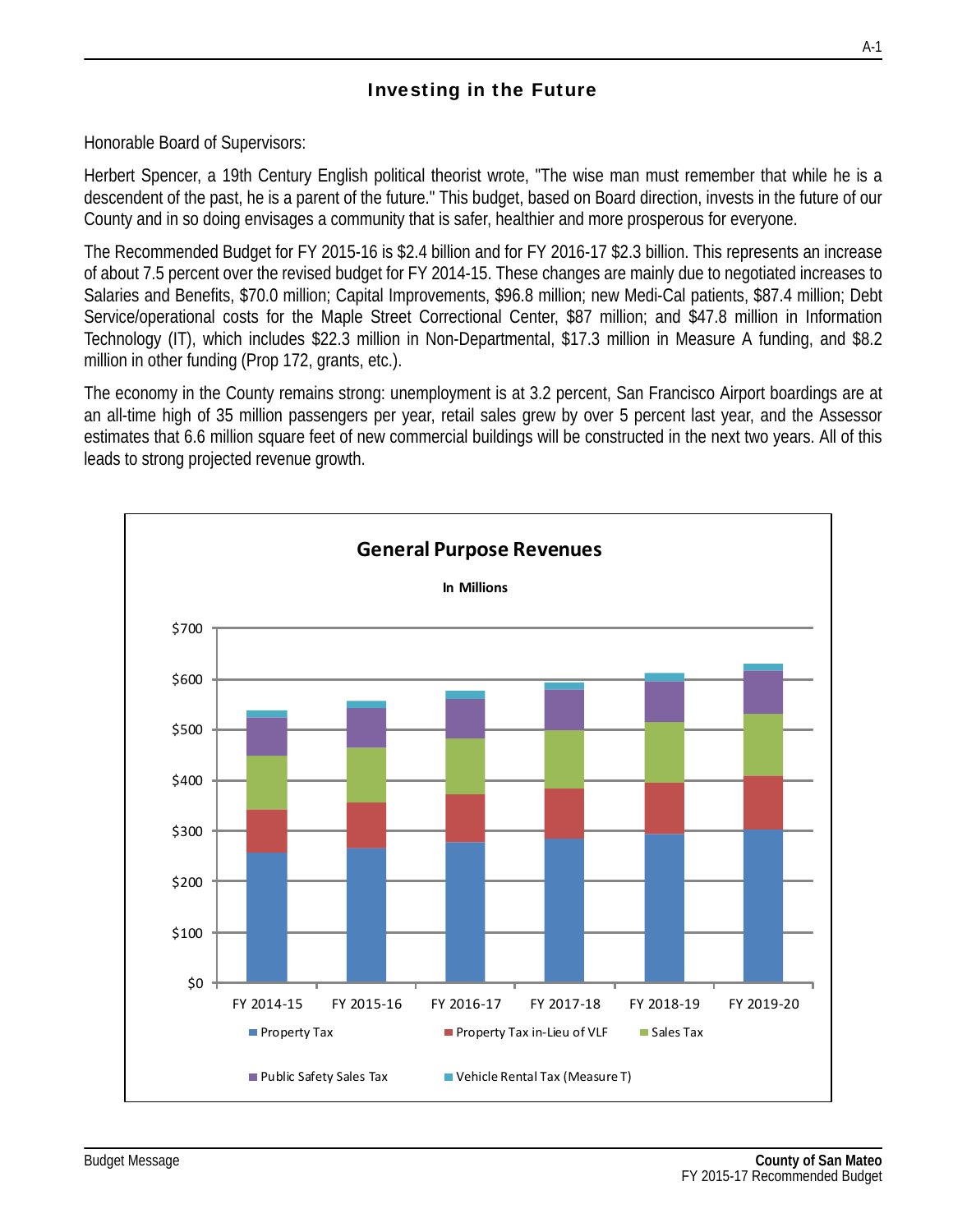## Investing in the Future

Honorable Board of Supervisors:

Herbert Spencer, a 19th Century English political theorist wrote, "The wise man must remember that while he is a descendent of the past, he is a parent of the future." This budget, based on Board direction, invests in the future of our County and in so doing envisages a community that is safer, healthier and more prosperous for everyone.

The Recommended Budget for FY 2015-16 is \$2.4 billion and for FY 2016-17 \$2.3 billion. This represents an increase of about 7.5 percent over the revised budget for FY 2014-15. These changes are mainly due to negotiated increases to Salaries and Benefits, \$70.0 million; Capital Improvements, \$96.8 million; new Medi-Cal patients, \$87.4 million; Debt Service/operational costs for the Maple Street Correctional Center, \$87 million; and \$47.8 million in Information Technology (IT), which includes \$22.3 million in Non-Departmental, \$17.3 million in Measure A funding, and \$8.2 million in other funding (Prop 172, grants, etc.).

The economy in the County remains strong: unemployment is at 3.2 percent, San Francisco Airport boardings are at an all-time high of 35 million passengers per year, retail sales grew by over 5 percent last year, and the Assessor estimates that 6.6 million square feet of new commercial buildings will be constructed in the next two years. All of this leads to strong projected revenue growth.

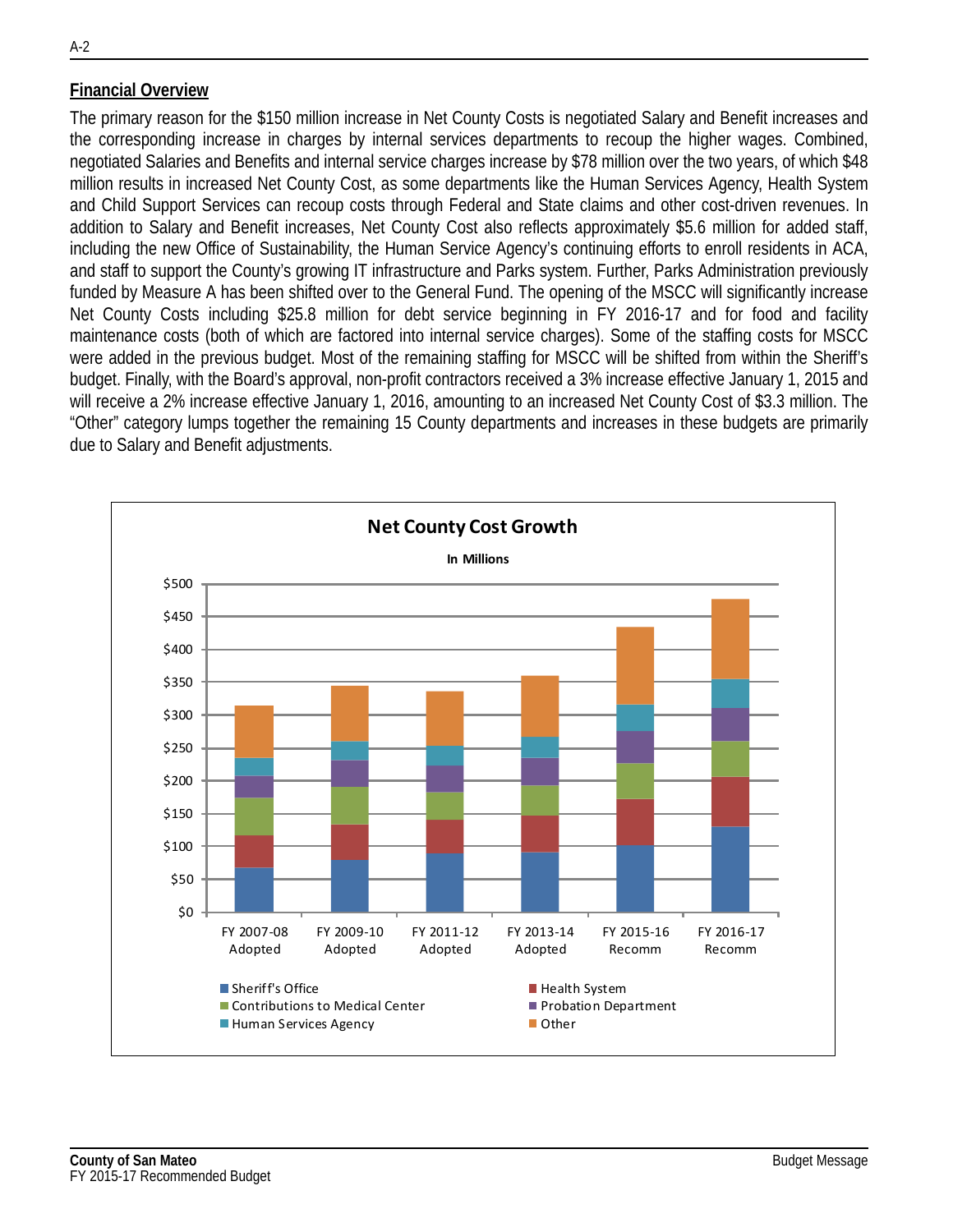### **Financial Overview**

The primary reason for the \$150 million increase in Net County Costs is negotiated Salary and Benefit increases and the corresponding increase in charges by internal services departments to recoup the higher wages. Combined, negotiated Salaries and Benefits and internal service charges increase by \$78 million over the two years, of which \$48 million results in increased Net County Cost, as some departments like the Human Services Agency, Health System and Child Support Services can recoup costs through Federal and State claims and other cost-driven revenues. In addition to Salary and Benefit increases, Net County Cost also reflects approximately \$5.6 million for added staff, including the new Office of Sustainability, the Human Service Agency's continuing efforts to enroll residents in ACA, and staff to support the County's growing IT infrastructure and Parks system. Further, Parks Administration previously funded by Measure A has been shifted over to the General Fund. The opening of the MSCC will significantly increase Net County Costs including \$25.8 million for debt service beginning in FY 2016-17 and for food and facility maintenance costs (both of which are factored into internal service charges). Some of the staffing costs for MSCC were added in the previous budget. Most of the remaining staffing for MSCC will be shifted from within the Sheriff's budget. Finally, with the Board's approval, non-profit contractors received a 3% increase effective January 1, 2015 and will receive a 2% increase effective January 1, 2016, amounting to an increased Net County Cost of \$3.3 million. The "Other" category lumps together the remaining 15 County departments and increases in these budgets are primarily due to Salary and Benefit adjustments.

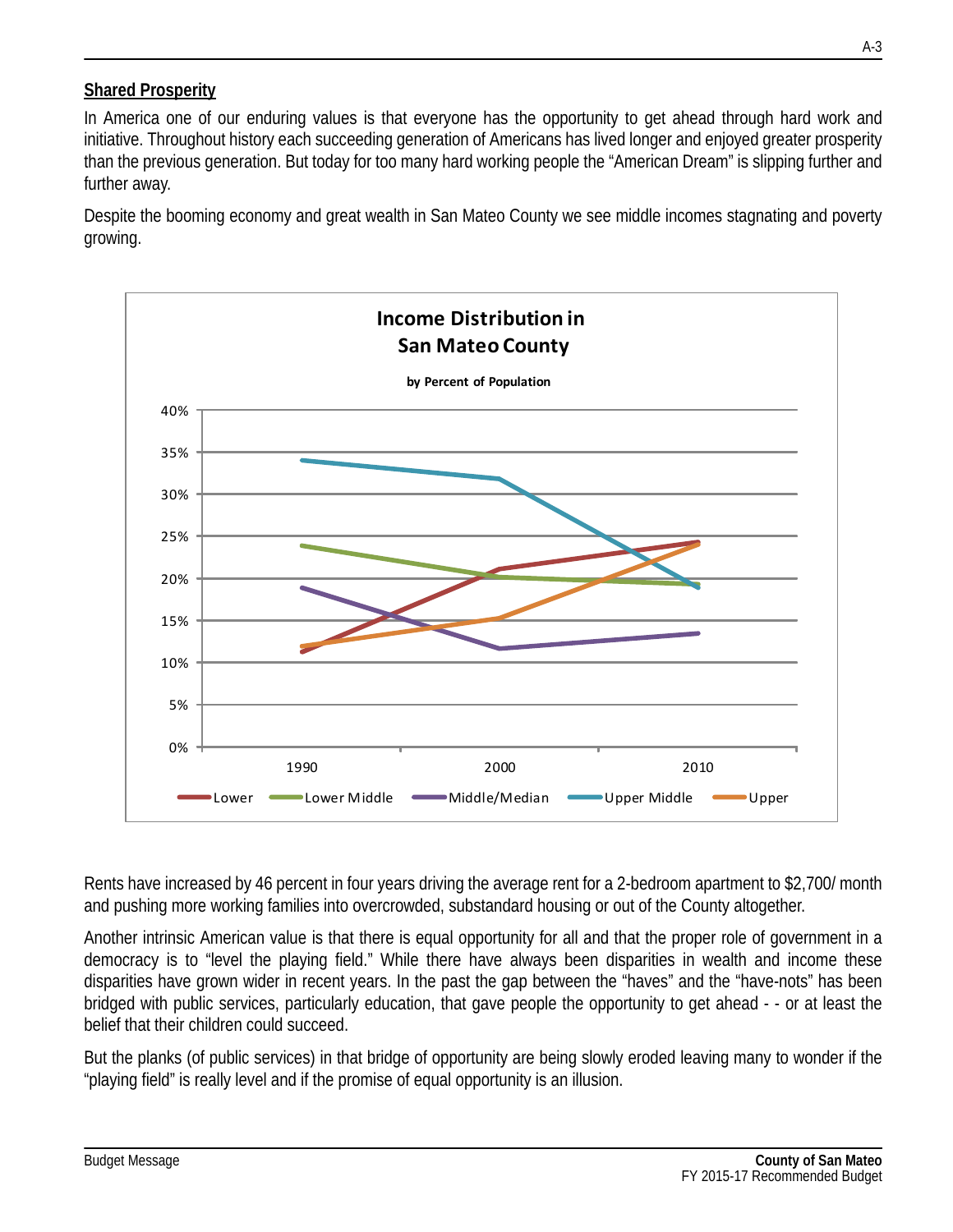### **Shared Prosperity**

In America one of our enduring values is that everyone has the opportunity to get ahead through hard work and initiative. Throughout history each succeeding generation of Americans has lived longer and enjoyed greater prosperity than the previous generation. But today for too many hard working people the "American Dream" is slipping further and further away.

Despite the booming economy and great wealth in San Mateo County we see middle incomes stagnating and poverty growing.



Rents have increased by 46 percent in four years driving the average rent for a 2-bedroom apartment to \$2,700/ month and pushing more working families into overcrowded, substandard housing or out of the County altogether.

Another intrinsic American value is that there is equal opportunity for all and that the proper role of government in a democracy is to "level the playing field." While there have always been disparities in wealth and income these disparities have grown wider in recent years. In the past the gap between the "haves" and the "have-nots" has been bridged with public services, particularly education, that gave people the opportunity to get ahead - - or at least the belief that their children could succeed.

But the planks (of public services) in that bridge of opportunity are being slowly eroded leaving many to wonder if the "playing field" is really level and if the promise of equal opportunity is an illusion.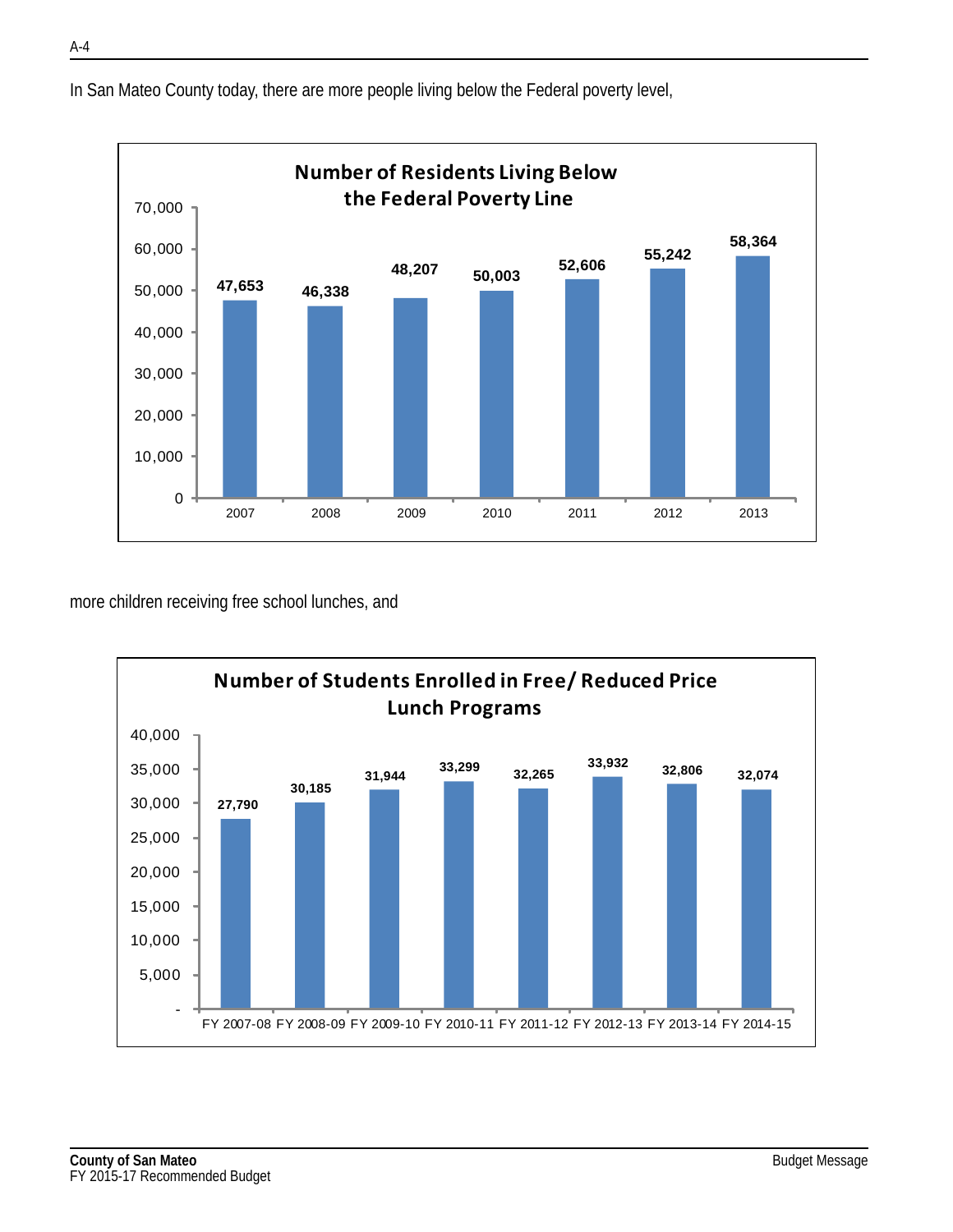**47,653 46,338 48,207 50,003 52,606 55,242 58,364** 0 10,000 20,000 30,000 40,000 50,000 60,000 70,000 2007 2008 2009 2010 2011 2012 2013 **Number of Residents Living Below the Federal Poverty Line**

In San Mateo County today, there are more people living below the Federal poverty level,

more children receiving free school lunches, and

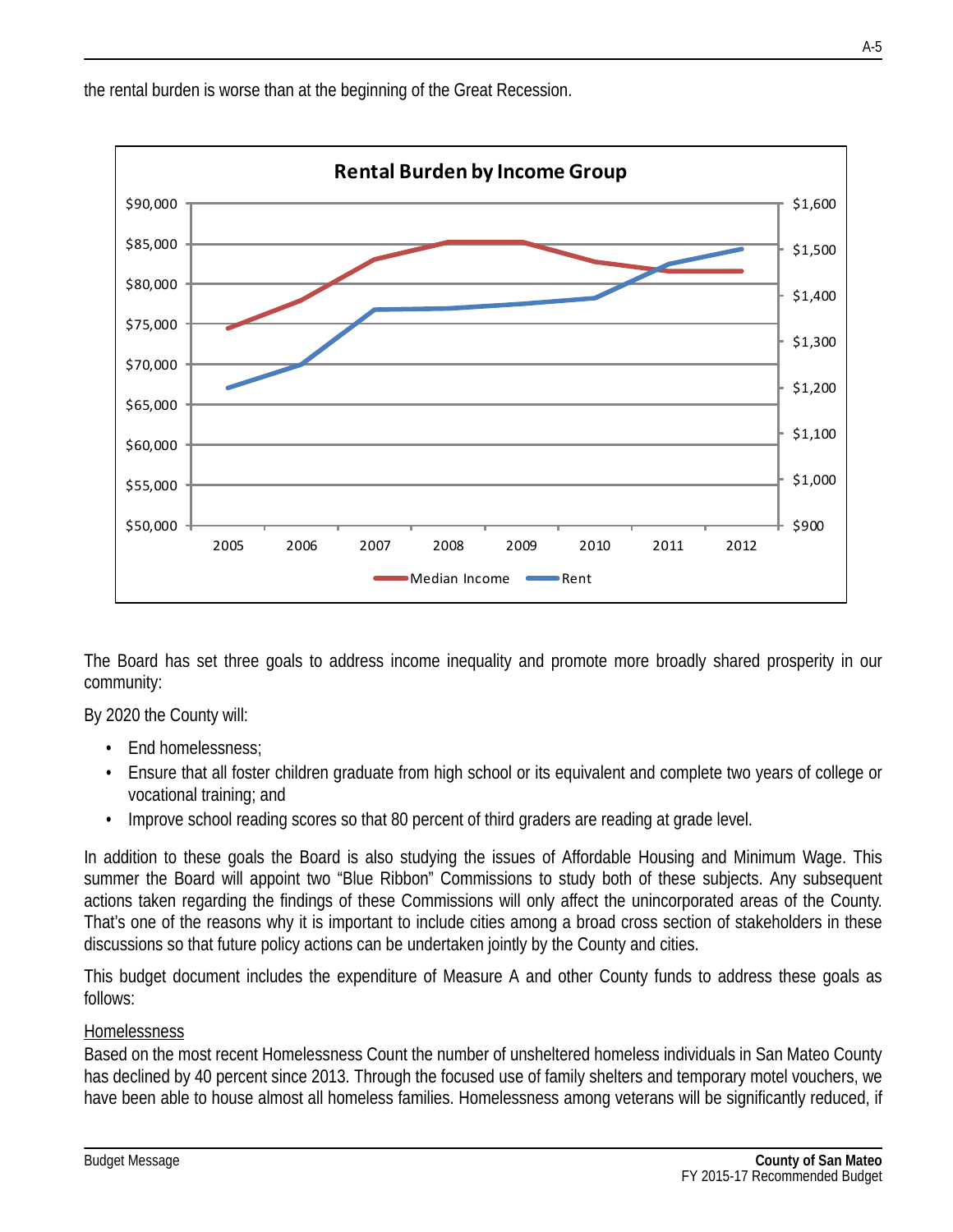the rental burden is worse than at the beginning of the Great Recession.



The Board has set three goals to address income inequality and promote more broadly shared prosperity in our community:

By 2020 the County will:

- End homelessness;
- Ensure that all foster children graduate from high school or its equivalent and complete two years of college or vocational training; and
- Improve school reading scores so that 80 percent of third graders are reading at grade level.

In addition to these goals the Board is also studying the issues of Affordable Housing and Minimum Wage. This summer the Board will appoint two "Blue Ribbon" Commissions to study both of these subjects. Any subsequent actions taken regarding the findings of these Commissions will only affect the unincorporated areas of the County. That's one of the reasons why it is important to include cities among a broad cross section of stakeholders in these discussions so that future policy actions can be undertaken jointly by the County and cities.

This budget document includes the expenditure of Measure A and other County funds to address these goals as follows:

#### **Homelessness**

Based on the most recent Homelessness Count the number of unsheltered homeless individuals in San Mateo County has declined by 40 percent since 2013. Through the focused use of family shelters and temporary motel vouchers, we have been able to house almost all homeless families. Homelessness among veterans will be significantly reduced, if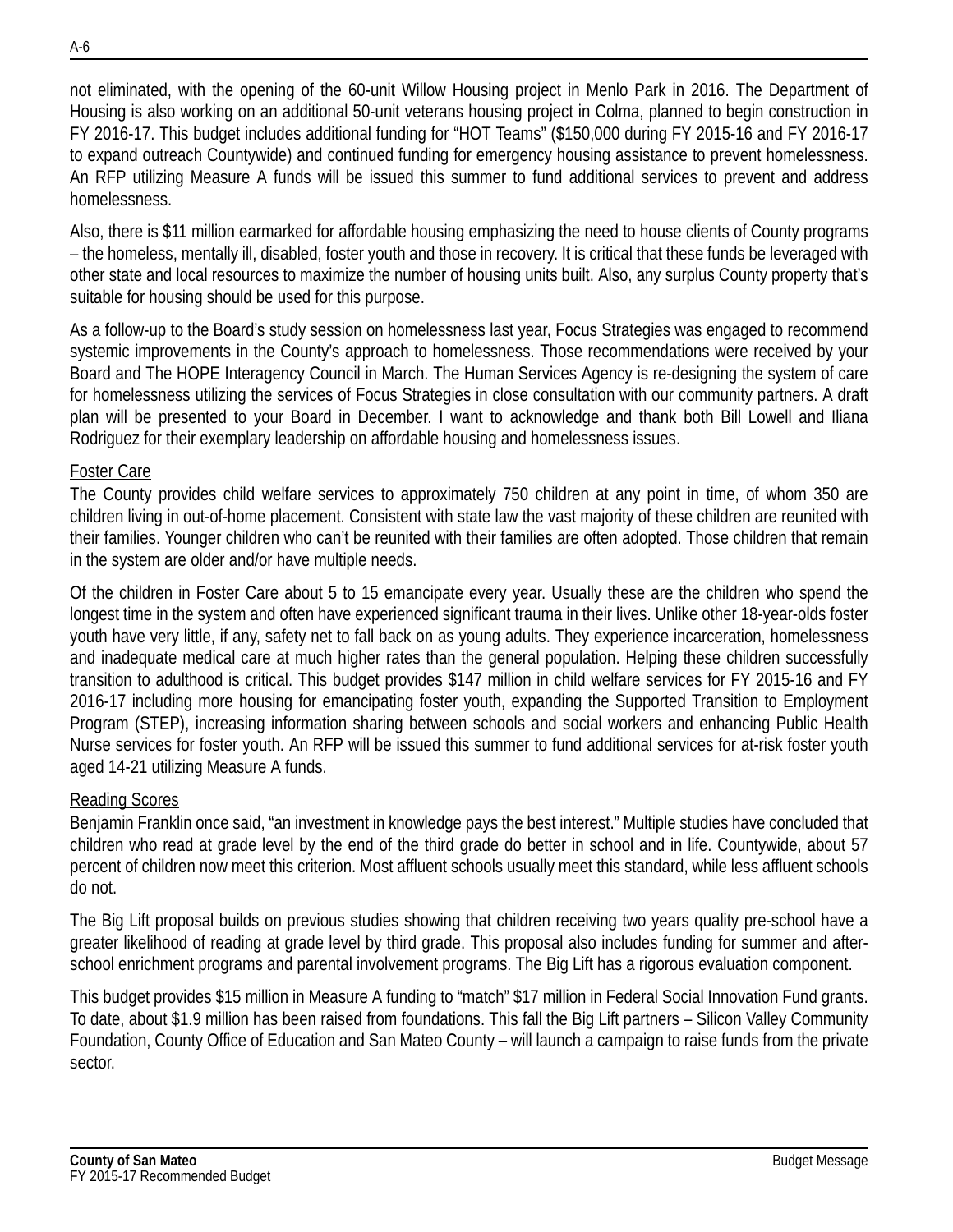not eliminated, with the opening of the 60-unit Willow Housing project in Menlo Park in 2016. The Department of Housing is also working on an additional 50-unit veterans housing project in Colma, planned to begin construction in FY 2016-17. This budget includes additional funding for "HOT Teams" (\$150,000 during FY 2015-16 and FY 2016-17 to expand outreach Countywide) and continued funding for emergency housing assistance to prevent homelessness. An RFP utilizing Measure A funds will be issued this summer to fund additional services to prevent and address homelessness.

Also, there is \$11 million earmarked for affordable housing emphasizing the need to house clients of County programs – the homeless, mentally ill, disabled, foster youth and those in recovery. It is critical that these funds be leveraged with other state and local resources to maximize the number of housing units built. Also, any surplus County property that's suitable for housing should be used for this purpose.

As a follow-up to the Board's study session on homelessness last year, Focus Strategies was engaged to recommend systemic improvements in the County's approach to homelessness. Those recommendations were received by your Board and The HOPE Interagency Council in March. The Human Services Agency is re-designing the system of care for homelessness utilizing the services of Focus Strategies in close consultation with our community partners. A draft plan will be presented to your Board in December. I want to acknowledge and thank both Bill Lowell and Iliana Rodriguez for their exemplary leadership on affordable housing and homelessness issues.

#### Foster Care

The County provides child welfare services to approximately 750 children at any point in time, of whom 350 are children living in out-of-home placement. Consistent with state law the vast majority of these children are reunited with their families. Younger children who can't be reunited with their families are often adopted. Those children that remain in the system are older and/or have multiple needs.

Of the children in Foster Care about 5 to 15 emancipate every year. Usually these are the children who spend the longest time in the system and often have experienced significant trauma in their lives. Unlike other 18-year-olds foster youth have very little, if any, safety net to fall back on as young adults. They experience incarceration, homelessness and inadequate medical care at much higher rates than the general population. Helping these children successfully transition to adulthood is critical. This budget provides \$147 million in child welfare services for FY 2015-16 and FY 2016-17 including more housing for emancipating foster youth, expanding the Supported Transition to Employment Program (STEP), increasing information sharing between schools and social workers and enhancing Public Health Nurse services for foster youth. An RFP will be issued this summer to fund additional services for at-risk foster youth aged 14-21 utilizing Measure A funds.

#### Reading Scores

Benjamin Franklin once said, "an investment in knowledge pays the best interest." Multiple studies have concluded that children who read at grade level by the end of the third grade do better in school and in life. Countywide, about 57 percent of children now meet this criterion. Most affluent schools usually meet this standard, while less affluent schools do not.

The Big Lift proposal builds on previous studies showing that children receiving two years quality pre-school have a greater likelihood of reading at grade level by third grade. This proposal also includes funding for summer and afterschool enrichment programs and parental involvement programs. The Big Lift has a rigorous evaluation component.

This budget provides \$15 million in Measure A funding to "match" \$17 million in Federal Social Innovation Fund grants. To date, about \$1.9 million has been raised from foundations. This fall the Big Lift partners – Silicon Valley Community Foundation, County Office of Education and San Mateo County – will launch a campaign to raise funds from the private sector.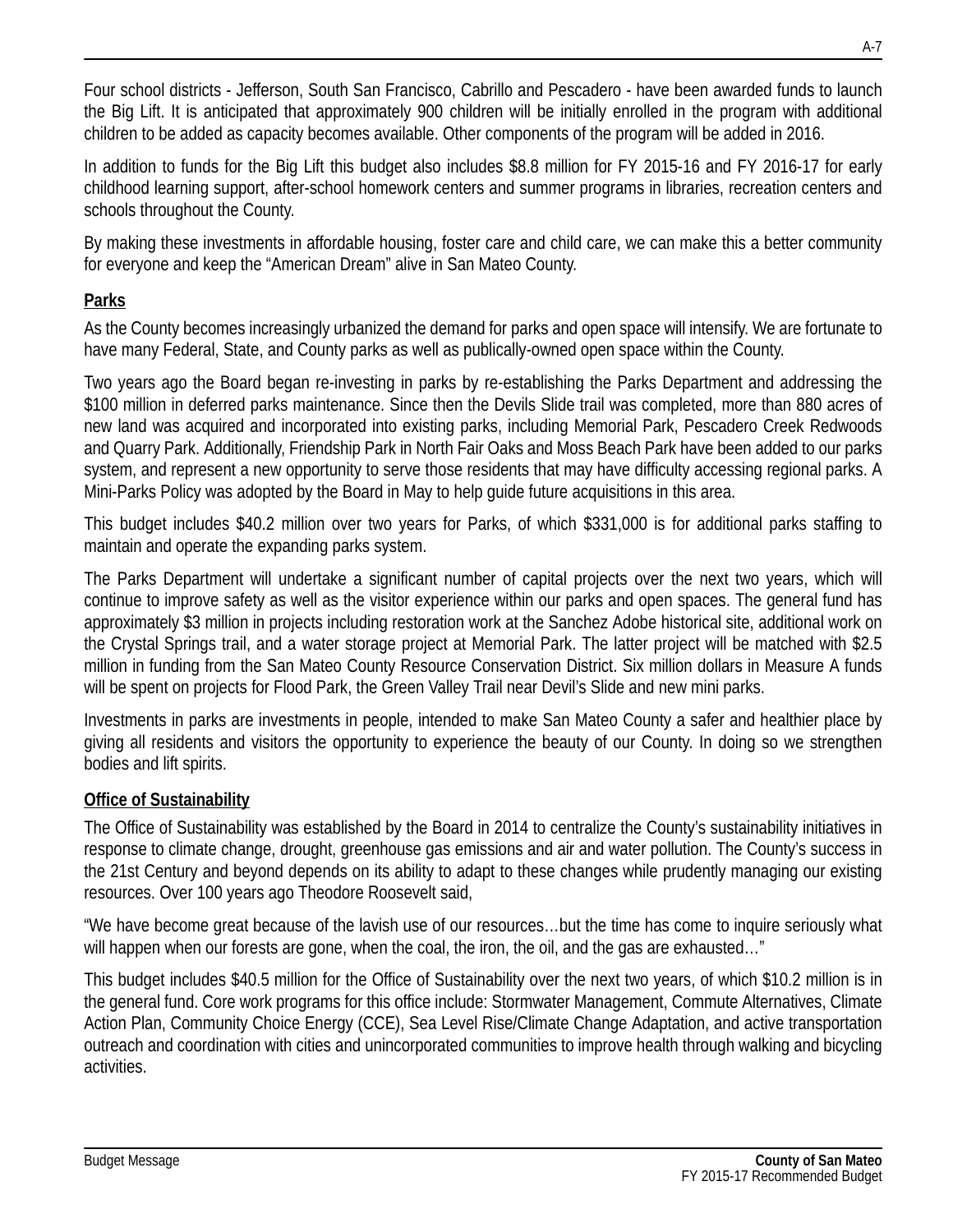Four school districts - Jefferson, South San Francisco, Cabrillo and Pescadero - have been awarded funds to launch the Big Lift. It is anticipated that approximately 900 children will be initially enrolled in the program with additional children to be added as capacity becomes available. Other components of the program will be added in 2016.

In addition to funds for the Big Lift this budget also includes \$8.8 million for FY 2015-16 and FY 2016-17 for early childhood learning support, after-school homework centers and summer programs in libraries, recreation centers and schools throughout the County.

By making these investments in affordable housing, foster care and child care, we can make this a better community for everyone and keep the "American Dream" alive in San Mateo County.

# **Parks**

As the County becomes increasingly urbanized the demand for parks and open space will intensify. We are fortunate to have many Federal, State, and County parks as well as publically-owned open space within the County.

Two years ago the Board began re-investing in parks by re-establishing the Parks Department and addressing the \$100 million in deferred parks maintenance. Since then the Devils Slide trail was completed, more than 880 acres of new land was acquired and incorporated into existing parks, including Memorial Park, Pescadero Creek Redwoods and Quarry Park. Additionally, Friendship Park in North Fair Oaks and Moss Beach Park have been added to our parks system, and represent a new opportunity to serve those residents that may have difficulty accessing regional parks. A Mini-Parks Policy was adopted by the Board in May to help guide future acquisitions in this area.

This budget includes \$40.2 million over two years for Parks, of which \$331,000 is for additional parks staffing to maintain and operate the expanding parks system.

The Parks Department will undertake a significant number of capital projects over the next two years, which will continue to improve safety as well as the visitor experience within our parks and open spaces. The general fund has approximately \$3 million in projects including restoration work at the Sanchez Adobe historical site, additional work on the Crystal Springs trail, and a water storage project at Memorial Park. The latter project will be matched with \$2.5 million in funding from the San Mateo County Resource Conservation District. Six million dollars in Measure A funds will be spent on projects for Flood Park, the Green Valley Trail near Devil's Slide and new mini parks.

Investments in parks are investments in people, intended to make San Mateo County a safer and healthier place by giving all residents and visitors the opportunity to experience the beauty of our County. In doing so we strengthen bodies and lift spirits.

## **Office of Sustainability**

The Office of Sustainability was established by the Board in 2014 to centralize the County's sustainability initiatives in response to climate change, drought, greenhouse gas emissions and air and water pollution. The County's success in the 21st Century and beyond depends on its ability to adapt to these changes while prudently managing our existing resources. Over 100 years ago Theodore Roosevelt said,

"We have become great because of the lavish use of our resources…but the time has come to inquire seriously what will happen when our forests are gone, when the coal, the iron, the oil, and the gas are exhausted…"

This budget includes \$40.5 million for the Office of Sustainability over the next two years, of which \$10.2 million is in the general fund. Core work programs for this office include: Stormwater Management, Commute Alternatives, Climate Action Plan, Community Choice Energy (CCE), Sea Level Rise/Climate Change Adaptation, and active transportation outreach and coordination with cities and unincorporated communities to improve health through walking and bicycling activities.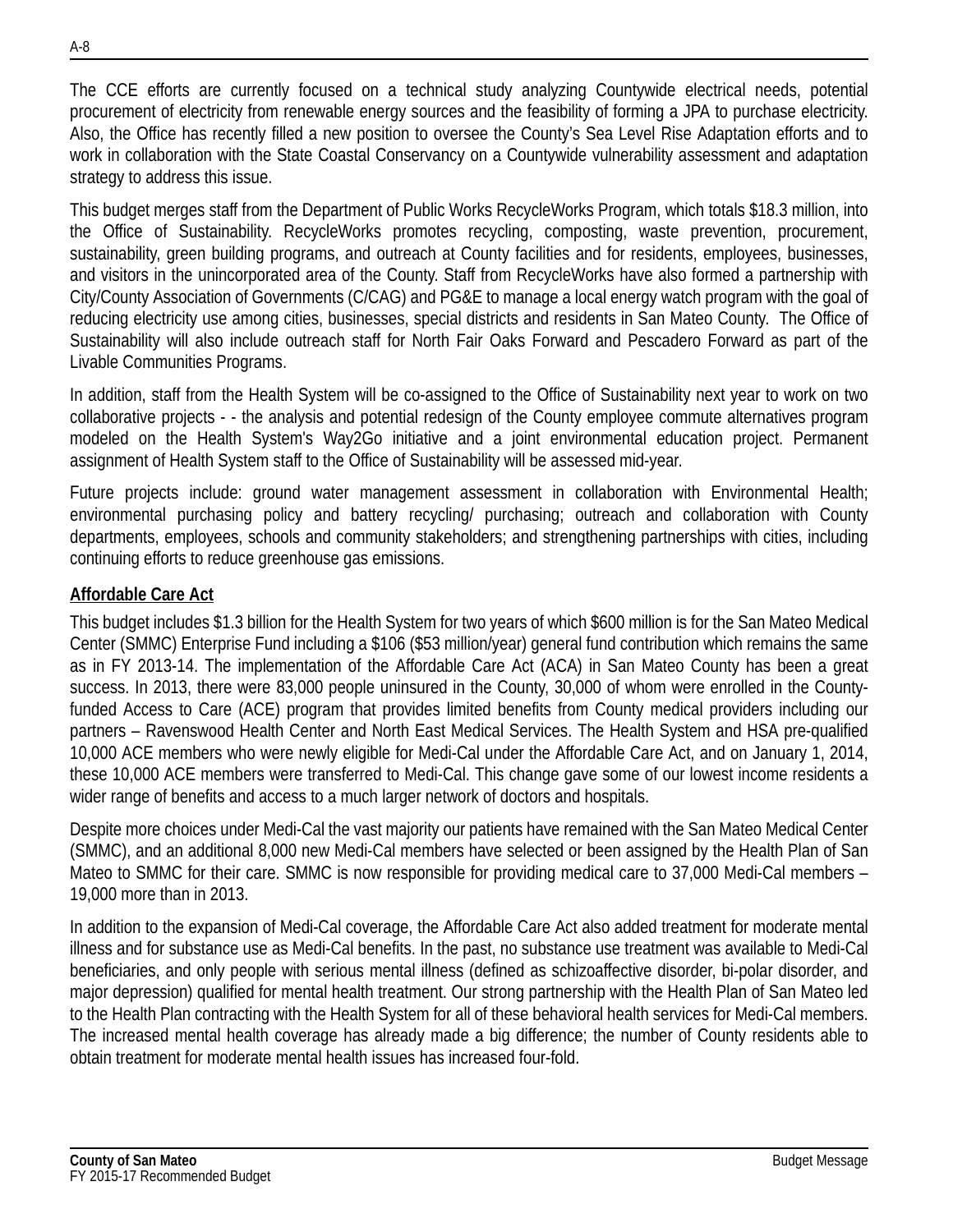The CCE efforts are currently focused on a technical study analyzing Countywide electrical needs, potential procurement of electricity from renewable energy sources and the feasibility of forming a JPA to purchase electricity. Also, the Office has recently filled a new position to oversee the County's Sea Level Rise Adaptation efforts and to work in collaboration with the State Coastal Conservancy on a Countywide vulnerability assessment and adaptation strategy to address this issue.

This budget merges staff from the Department of Public Works RecycleWorks Program, which totals \$18.3 million, into the Office of Sustainability. RecycleWorks promotes recycling, composting, waste prevention, procurement, sustainability, green building programs, and outreach at County facilities and for residents, employees, businesses, and visitors in the unincorporated area of the County. Staff from RecycleWorks have also formed a partnership with City/County Association of Governments (C/CAG) and PG&E to manage a local energy watch program with the goal of reducing electricity use among cities, businesses, special districts and residents in San Mateo County. The Office of Sustainability will also include outreach staff for North Fair Oaks Forward and Pescadero Forward as part of the Livable Communities Programs.

In addition, staff from the Health System will be co-assigned to the Office of Sustainability next year to work on two collaborative projects - - the analysis and potential redesign of the County employee commute alternatives program modeled on the Health System's Way2Go initiative and a joint environmental education project. Permanent assignment of Health System staff to the Office of Sustainability will be assessed mid-year.

Future projects include: ground water management assessment in collaboration with Environmental Health; environmental purchasing policy and battery recycling/ purchasing; outreach and collaboration with County departments, employees, schools and community stakeholders; and strengthening partnerships with cities, including continuing efforts to reduce greenhouse gas emissions.

## **Affordable Care Act**

This budget includes \$1.3 billion for the Health System for two years of which \$600 million is for the San Mateo Medical Center (SMMC) Enterprise Fund including a \$106 (\$53 million/year) general fund contribution which remains the same as in FY 2013-14. The implementation of the Affordable Care Act (ACA) in San Mateo County has been a great success. In 2013, there were 83,000 people uninsured in the County, 30,000 of whom were enrolled in the Countyfunded Access to Care (ACE) program that provides limited benefits from County medical providers including our partners – Ravenswood Health Center and North East Medical Services. The Health System and HSA pre-qualified 10,000 ACE members who were newly eligible for Medi-Cal under the Affordable Care Act, and on January 1, 2014, these 10,000 ACE members were transferred to Medi-Cal. This change gave some of our lowest income residents a wider range of benefits and access to a much larger network of doctors and hospitals.

Despite more choices under Medi-Cal the vast majority our patients have remained with the San Mateo Medical Center (SMMC), and an additional 8,000 new Medi-Cal members have selected or been assigned by the Health Plan of San Mateo to SMMC for their care. SMMC is now responsible for providing medical care to 37,000 Medi-Cal members – 19,000 more than in 2013.

In addition to the expansion of Medi-Cal coverage, the Affordable Care Act also added treatment for moderate mental illness and for substance use as Medi-Cal benefits. In the past, no substance use treatment was available to Medi-Cal beneficiaries, and only people with serious mental illness (defined as schizoaffective disorder, bi-polar disorder, and major depression) qualified for mental health treatment. Our strong partnership with the Health Plan of San Mateo led to the Health Plan contracting with the Health System for all of these behavioral health services for Medi-Cal members. The increased mental health coverage has already made a big difference; the number of County residents able to obtain treatment for moderate mental health issues has increased four-fold.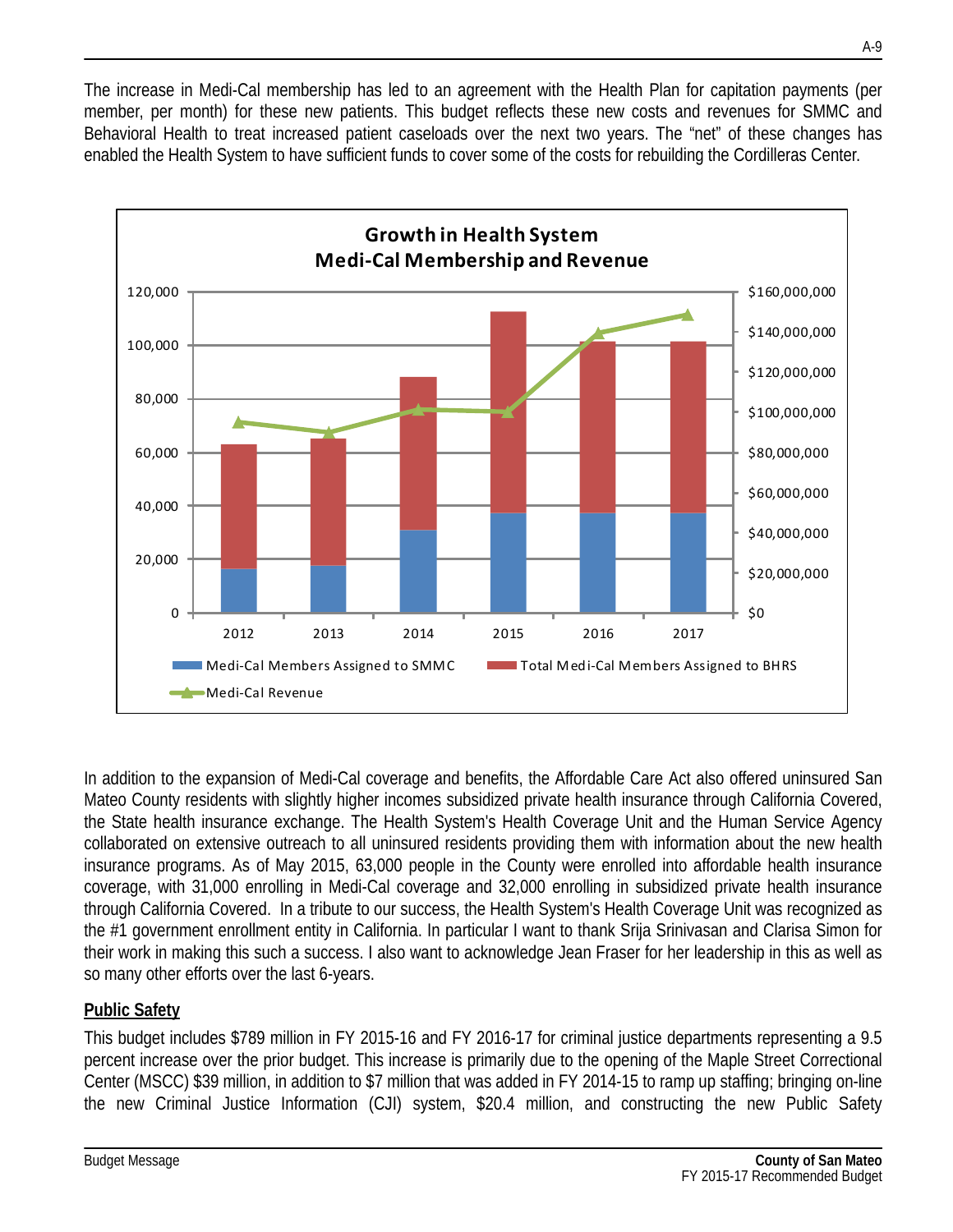The increase in Medi-Cal membership has led to an agreement with the Health Plan for capitation payments (per member, per month) for these new patients. This budget reflects these new costs and revenues for SMMC and Behavioral Health to treat increased patient caseloads over the next two years. The "net" of these changes has enabled the Health System to have sufficient funds to cover some of the costs for rebuilding the Cordilleras Center.



In addition to the expansion of Medi-Cal coverage and benefits, the Affordable Care Act also offered uninsured San Mateo County residents with slightly higher incomes subsidized private health insurance through California Covered, the State health insurance exchange. The Health System's Health Coverage Unit and the Human Service Agency collaborated on extensive outreach to all uninsured residents providing them with information about the new health insurance programs. As of May 2015, 63,000 people in the County were enrolled into affordable health insurance coverage, with 31,000 enrolling in Medi-Cal coverage and 32,000 enrolling in subsidized private health insurance through California Covered. In a tribute to our success, the Health System's Health Coverage Unit was recognized as the #1 government enrollment entity in California. In particular I want to thank Srija Srinivasan and Clarisa Simon for their work in making this such a success. I also want to acknowledge Jean Fraser for her leadership in this as well as so many other efforts over the last 6-years.

## **Public Safety**

This budget includes \$789 million in FY 2015-16 and FY 2016-17 for criminal justice departments representing a 9.5 percent increase over the prior budget. This increase is primarily due to the opening of the Maple Street Correctional Center (MSCC) \$39 million, in addition to \$7 million that was added in FY 2014-15 to ramp up staffing; bringing on-line the new Criminal Justice Information (CJI) system, \$20.4 million, and constructing the new Public Safety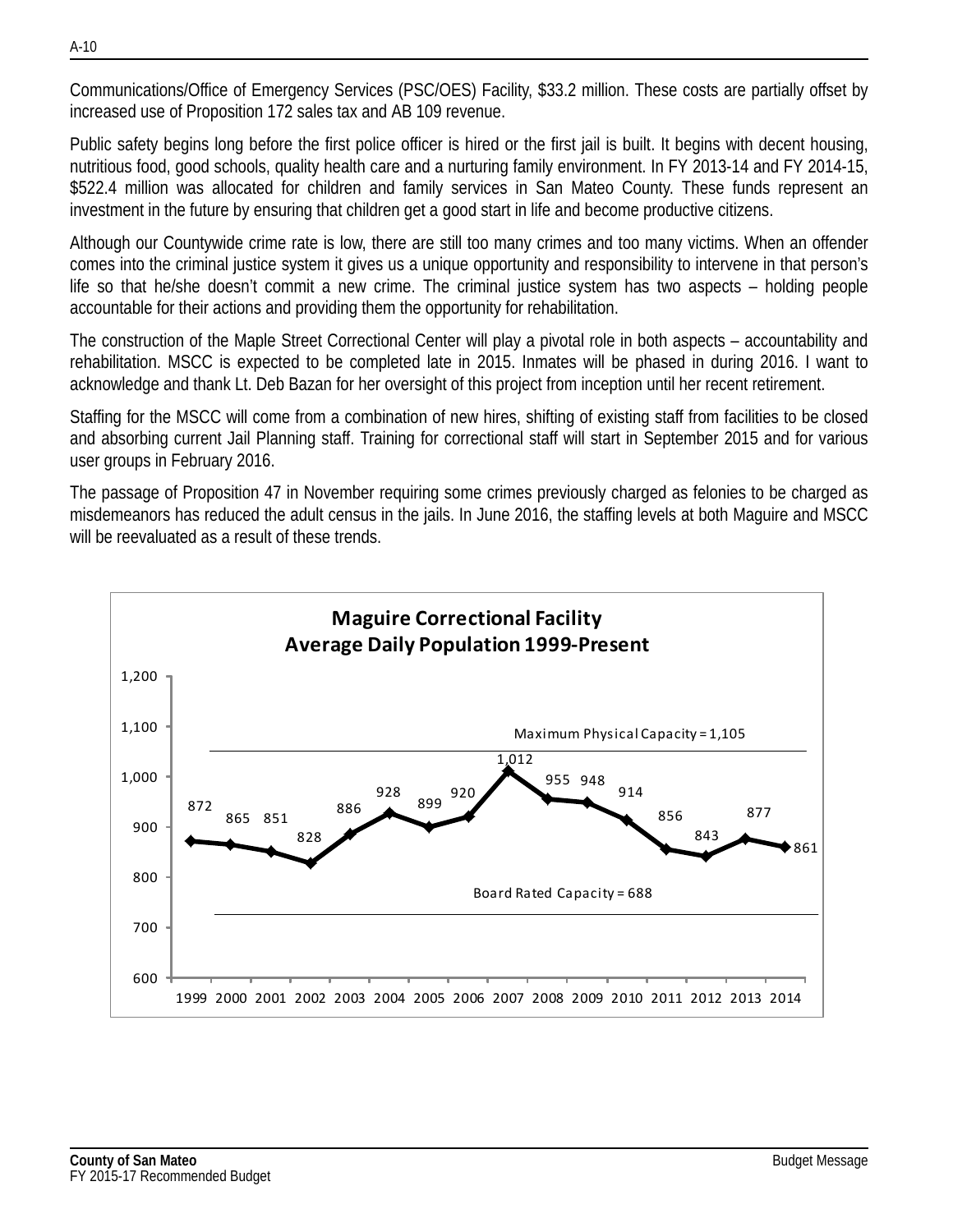Communications/Office of Emergency Services (PSC/OES) Facility, \$33.2 million. These costs are partially offset by increased use of Proposition 172 sales tax and AB 109 revenue.

Public safety begins long before the first police officer is hired or the first jail is built. It begins with decent housing, nutritious food, good schools, quality health care and a nurturing family environment. In FY 2013-14 and FY 2014-15, \$522.4 million was allocated for children and family services in San Mateo County. These funds represent an investment in the future by ensuring that children get a good start in life and become productive citizens.

Although our Countywide crime rate is low, there are still too many crimes and too many victims. When an offender comes into the criminal justice system it gives us a unique opportunity and responsibility to intervene in that person's life so that he/she doesn't commit a new crime. The criminal justice system has two aspects – holding people accountable for their actions and providing them the opportunity for rehabilitation.

The construction of the Maple Street Correctional Center will play a pivotal role in both aspects – accountability and rehabilitation. MSCC is expected to be completed late in 2015. Inmates will be phased in during 2016. I want to acknowledge and thank Lt. Deb Bazan for her oversight of this project from inception until her recent retirement.

Staffing for the MSCC will come from a combination of new hires, shifting of existing staff from facilities to be closed and absorbing current Jail Planning staff. Training for correctional staff will start in September 2015 and for various user groups in February 2016.

The passage of Proposition 47 in November requiring some crimes previously charged as felonies to be charged as misdemeanors has reduced the adult census in the jails. In June 2016, the staffing levels at both Maguire and MSCC will be reevaluated as a result of these trends.

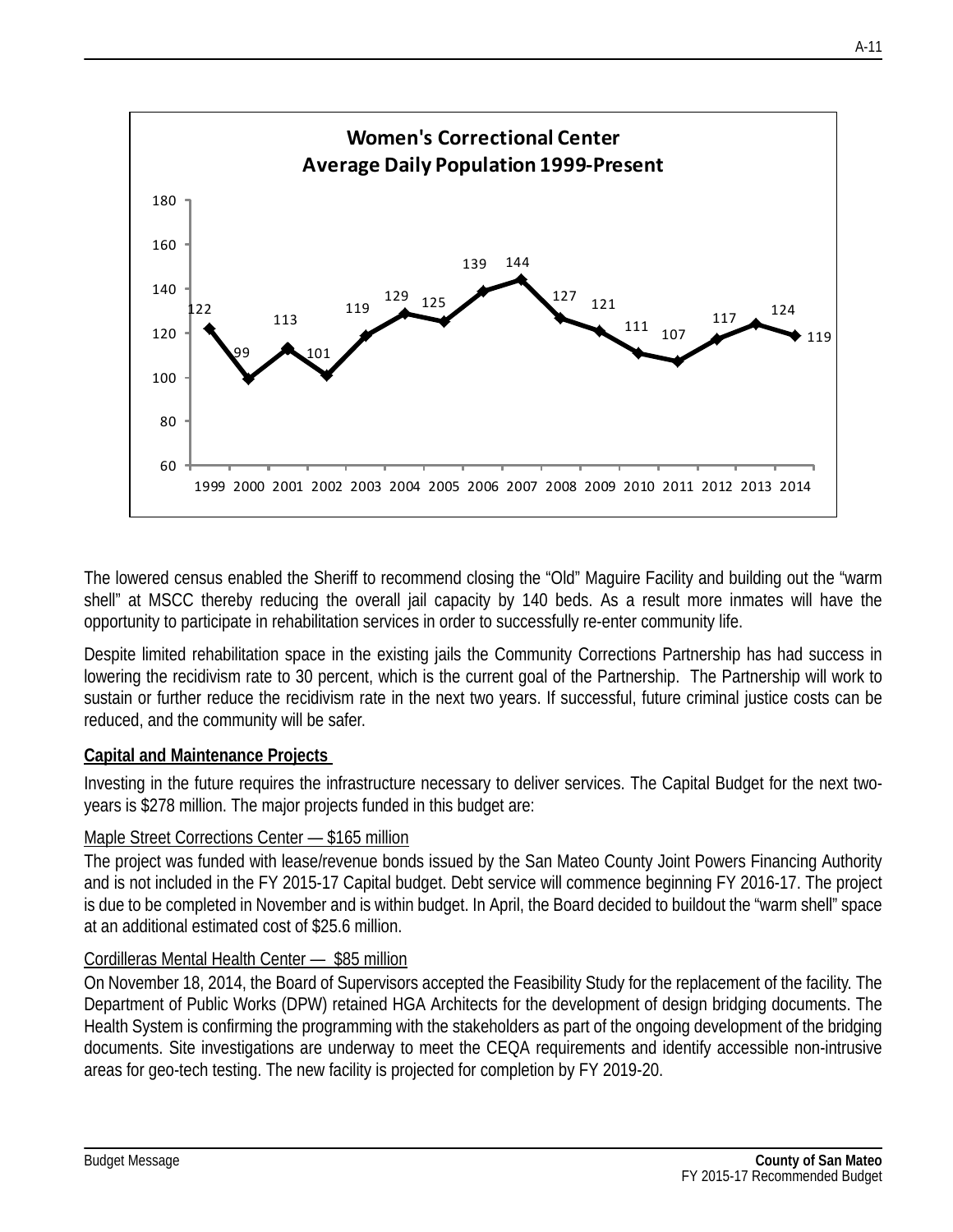

The lowered census enabled the Sheriff to recommend closing the "Old" Maguire Facility and building out the "warm shell" at MSCC thereby reducing the overall jail capacity by 140 beds. As a result more inmates will have the opportunity to participate in rehabilitation services in order to successfully re-enter community life.

Despite limited rehabilitation space in the existing jails the Community Corrections Partnership has had success in lowering the recidivism rate to 30 percent, which is the current goal of the Partnership. The Partnership will work to sustain or further reduce the recidivism rate in the next two years. If successful, future criminal justice costs can be reduced, and the community will be safer.

#### **Capital and Maintenance Projects**

Investing in the future requires the infrastructure necessary to deliver services. The Capital Budget for the next twoyears is \$278 million. The major projects funded in this budget are:

#### Maple Street Corrections Center — \$165 million

The project was funded with lease/revenue bonds issued by the San Mateo County Joint Powers Financing Authority and is not included in the FY 2015-17 Capital budget. Debt service will commence beginning FY 2016-17. The project is due to be completed in November and is within budget. In April, the Board decided to buildout the "warm shell" space at an additional estimated cost of \$25.6 million.

#### Cordilleras Mental Health Center — \$85 million

On November 18, 2014, the Board of Supervisors accepted the Feasibility Study for the replacement of the facility. The Department of Public Works (DPW) retained HGA Architects for the development of design bridging documents. The Health System is confirming the programming with the stakeholders as part of the ongoing development of the bridging documents. Site investigations are underway to meet the CEQA requirements and identify accessible non-intrusive areas for geo-tech testing. The new facility is projected for completion by FY 2019-20.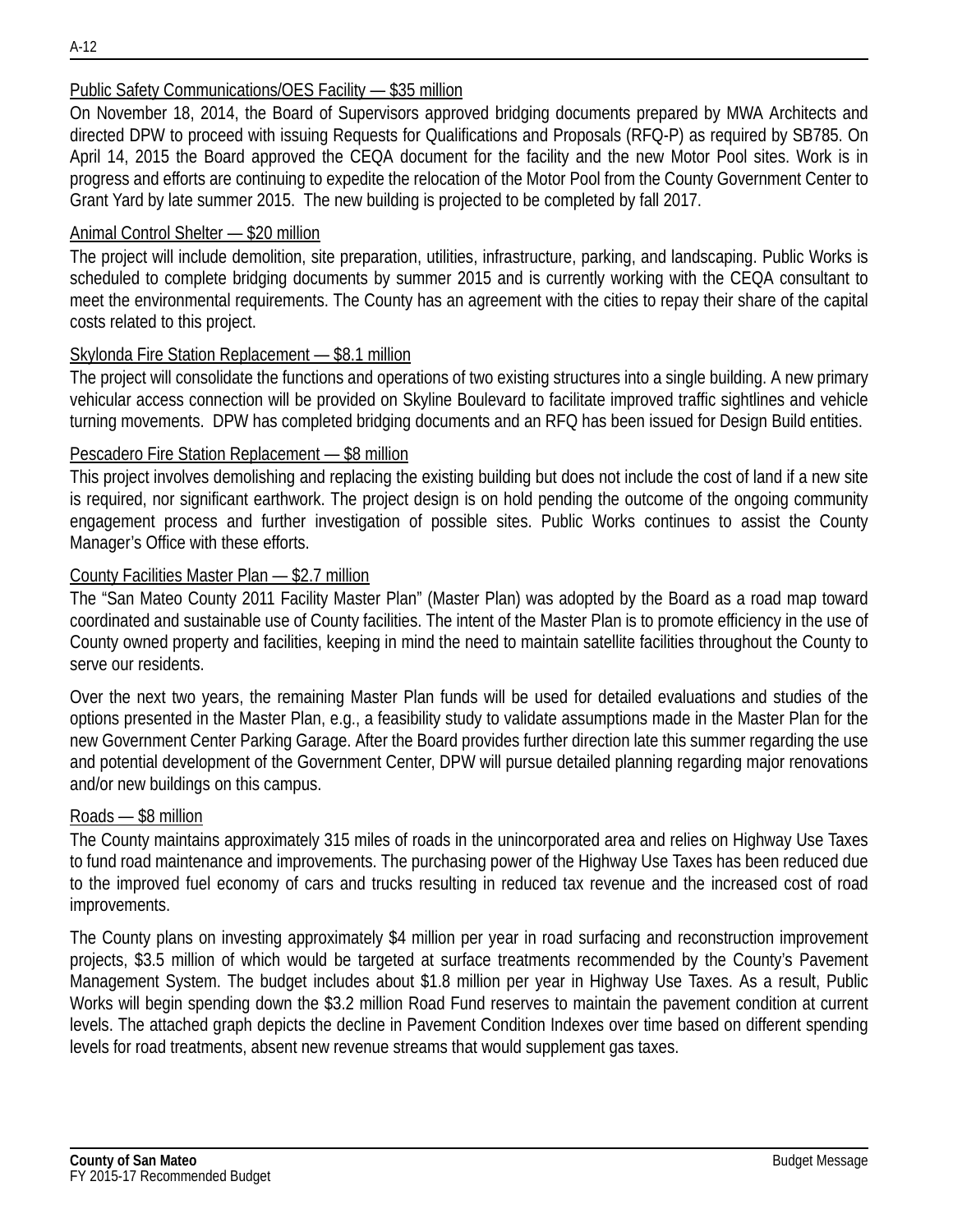### Public Safety Communications/OES Facility — \$35 million

On November 18, 2014, the Board of Supervisors approved bridging documents prepared by MWA Architects and directed DPW to proceed with issuing Requests for Qualifications and Proposals (RFQ-P) as required by SB785. On April 14, 2015 the Board approved the CEQA document for the facility and the new Motor Pool sites. Work is in progress and efforts are continuing to expedite the relocation of the Motor Pool from the County Government Center to Grant Yard by late summer 2015. The new building is projected to be completed by fall 2017.

### Animal Control Shelter — \$20 million

The project will include demolition, site preparation, utilities, infrastructure, parking, and landscaping. Public Works is scheduled to complete bridging documents by summer 2015 and is currently working with the CEQA consultant to meet the environmental requirements. The County has an agreement with the cities to repay their share of the capital costs related to this project.

## Skylonda Fire Station Replacement — \$8.1 million

The project will consolidate the functions and operations of two existing structures into a single building. A new primary vehicular access connection will be provided on Skyline Boulevard to facilitate improved traffic sightlines and vehicle turning movements. DPW has completed bridging documents and an RFQ has been issued for Design Build entities.

#### Pescadero Fire Station Replacement — \$8 million

This project involves demolishing and replacing the existing building but does not include the cost of land if a new site is required, nor significant earthwork. The project design is on hold pending the outcome of the ongoing community engagement process and further investigation of possible sites. Public Works continues to assist the County Manager's Office with these efforts.

#### County Facilities Master Plan — \$2.7 million

The "San Mateo County 2011 Facility Master Plan" (Master Plan) was adopted by the Board as a road map toward coordinated and sustainable use of County facilities. The intent of the Master Plan is to promote efficiency in the use of County owned property and facilities, keeping in mind the need to maintain satellite facilities throughout the County to serve our residents.

Over the next two years, the remaining Master Plan funds will be used for detailed evaluations and studies of the options presented in the Master Plan, e.g., a feasibility study to validate assumptions made in the Master Plan for the new Government Center Parking Garage. After the Board provides further direction late this summer regarding the use and potential development of the Government Center, DPW will pursue detailed planning regarding major renovations and/or new buildings on this campus.

#### Roads — \$8 million

The County maintains approximately 315 miles of roads in the unincorporated area and relies on Highway Use Taxes to fund road maintenance and improvements. The purchasing power of the Highway Use Taxes has been reduced due to the improved fuel economy of cars and trucks resulting in reduced tax revenue and the increased cost of road improvements.

The County plans on investing approximately \$4 million per year in road surfacing and reconstruction improvement projects, \$3.5 million of which would be targeted at surface treatments recommended by the County's Pavement Management System. The budget includes about \$1.8 million per year in Highway Use Taxes. As a result, Public Works will begin spending down the \$3.2 million Road Fund reserves to maintain the pavement condition at current levels. The attached graph depicts the decline in Pavement Condition Indexes over time based on different spending levels for road treatments, absent new revenue streams that would supplement gas taxes.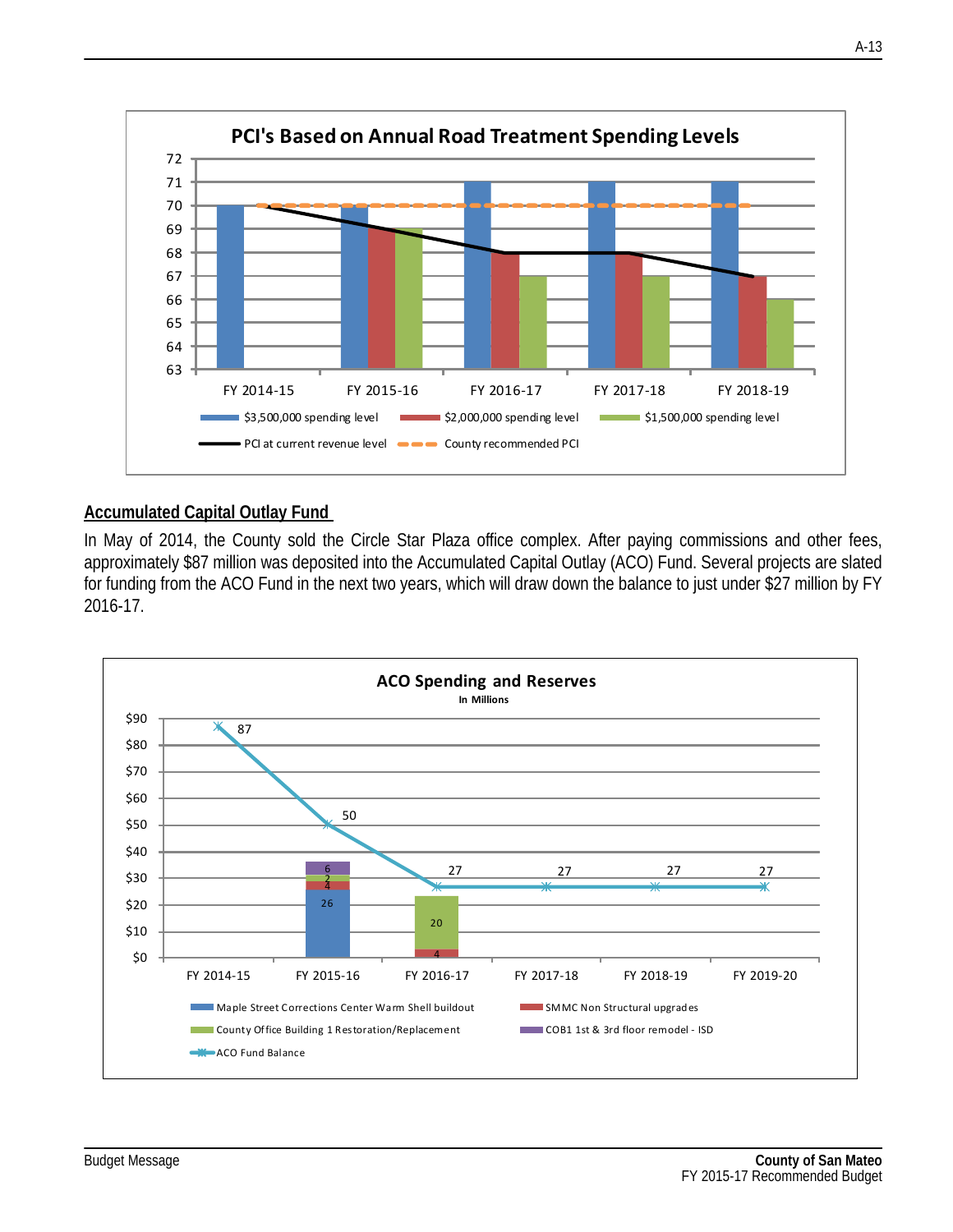

#### **Accumulated Capital Outlay Fund**

In May of 2014, the County sold the Circle Star Plaza office complex. After paying commissions and other fees, approximately \$87 million was deposited into the Accumulated Capital Outlay (ACO) Fund. Several projects are slated for funding from the ACO Fund in the next two years, which will draw down the balance to just under \$27 million by FY 2016-17.

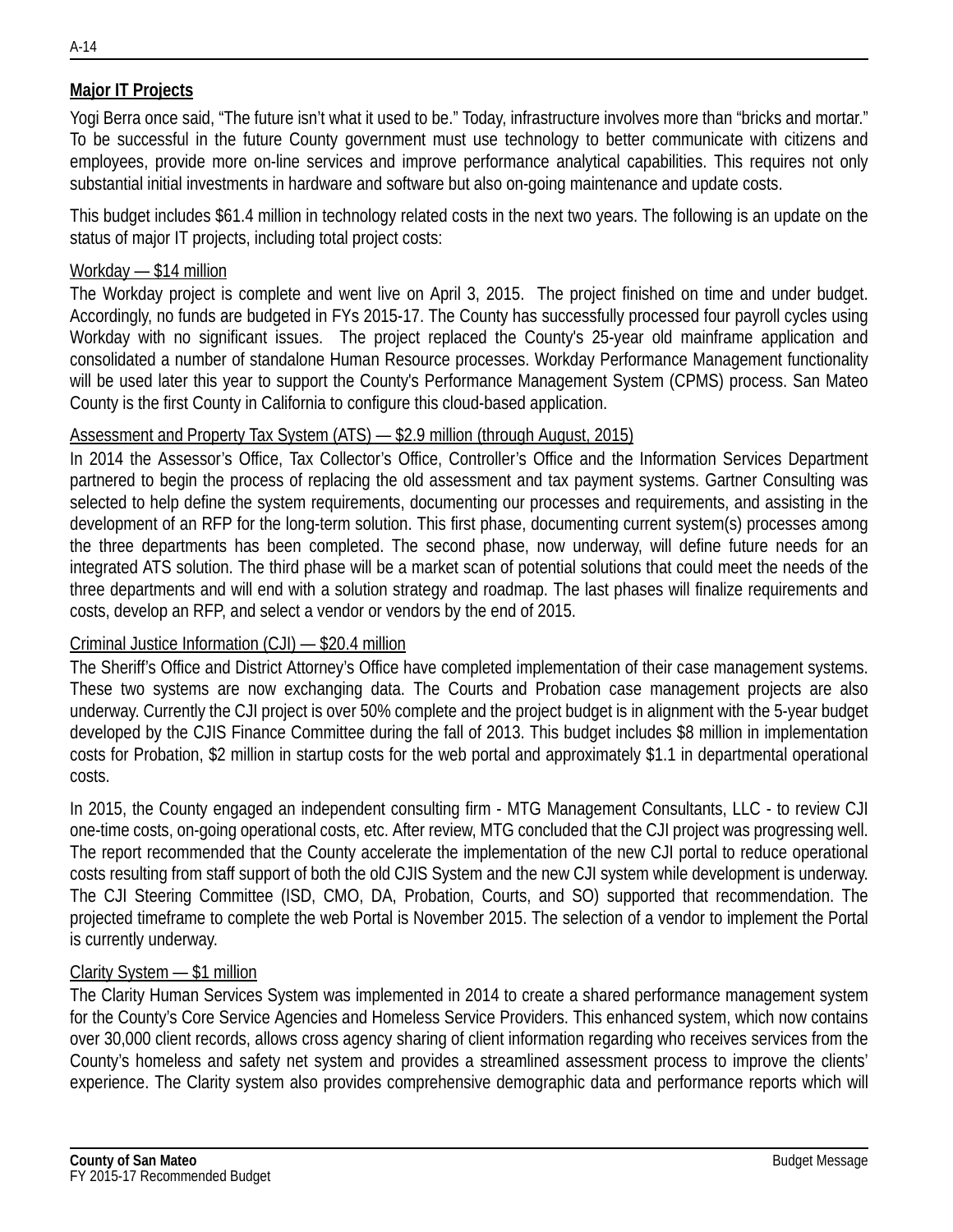## **Major IT Projects**

Yogi Berra once said, "The future isn't what it used to be." Today, infrastructure involves more than "bricks and mortar." To be successful in the future County government must use technology to better communicate with citizens and employees, provide more on-line services and improve performance analytical capabilities. This requires not only substantial initial investments in hardware and software but also on-going maintenance and update costs.

This budget includes \$61.4 million in technology related costs in the next two years. The following is an update on the status of major IT projects, including total project costs:

#### Workday — \$14 million

The Workday project is complete and went live on April 3, 2015. The project finished on time and under budget. Accordingly, no funds are budgeted in FYs 2015-17. The County has successfully processed four payroll cycles using Workday with no significant issues. The project replaced the County's 25-year old mainframe application and consolidated a number of standalone Human Resource processes. Workday Performance Management functionality will be used later this year to support the County's Performance Management System (CPMS) process. San Mateo County is the first County in California to configure this cloud-based application.

#### Assessment and Property Tax System (ATS) — \$2.9 million (through August, 2015)

In 2014 the Assessor's Office, Tax Collector's Office, Controller's Office and the Information Services Department partnered to begin the process of replacing the old assessment and tax payment systems. Gartner Consulting was selected to help define the system requirements, documenting our processes and requirements, and assisting in the development of an RFP for the long-term solution. This first phase, documenting current system(s) processes among the three departments has been completed. The second phase, now underway, will define future needs for an integrated ATS solution. The third phase will be a market scan of potential solutions that could meet the needs of the three departments and will end with a solution strategy and roadmap. The last phases will finalize requirements and costs, develop an RFP, and select a vendor or vendors by the end of 2015.

#### Criminal Justice Information (CJI) — \$20.4 million

The Sheriff's Office and District Attorney's Office have completed implementation of their case management systems. These two systems are now exchanging data. The Courts and Probation case management projects are also underway. Currently the CJI project is over 50% complete and the project budget is in alignment with the 5-year budget developed by the CJIS Finance Committee during the fall of 2013. This budget includes \$8 million in implementation costs for Probation, \$2 million in startup costs for the web portal and approximately \$1.1 in departmental operational costs.

In 2015, the County engaged an independent consulting firm - MTG Management Consultants, LLC - to review CJI one-time costs, on-going operational costs, etc. After review, MTG concluded that the CJI project was progressing well. The report recommended that the County accelerate the implementation of the new CJI portal to reduce operational costs resulting from staff support of both the old CJIS System and the new CJI system while development is underway. The CJI Steering Committee (ISD, CMO, DA, Probation, Courts, and SO) supported that recommendation. The projected timeframe to complete the web Portal is November 2015. The selection of a vendor to implement the Portal is currently underway.

#### Clarity System — \$1 million

The Clarity Human Services System was implemented in 2014 to create a shared performance management system for the County's Core Service Agencies and Homeless Service Providers. This enhanced system, which now contains over 30,000 client records, allows cross agency sharing of client information regarding who receives services from the County's homeless and safety net system and provides a streamlined assessment process to improve the clients' experience. The Clarity system also provides comprehensive demographic data and performance reports which will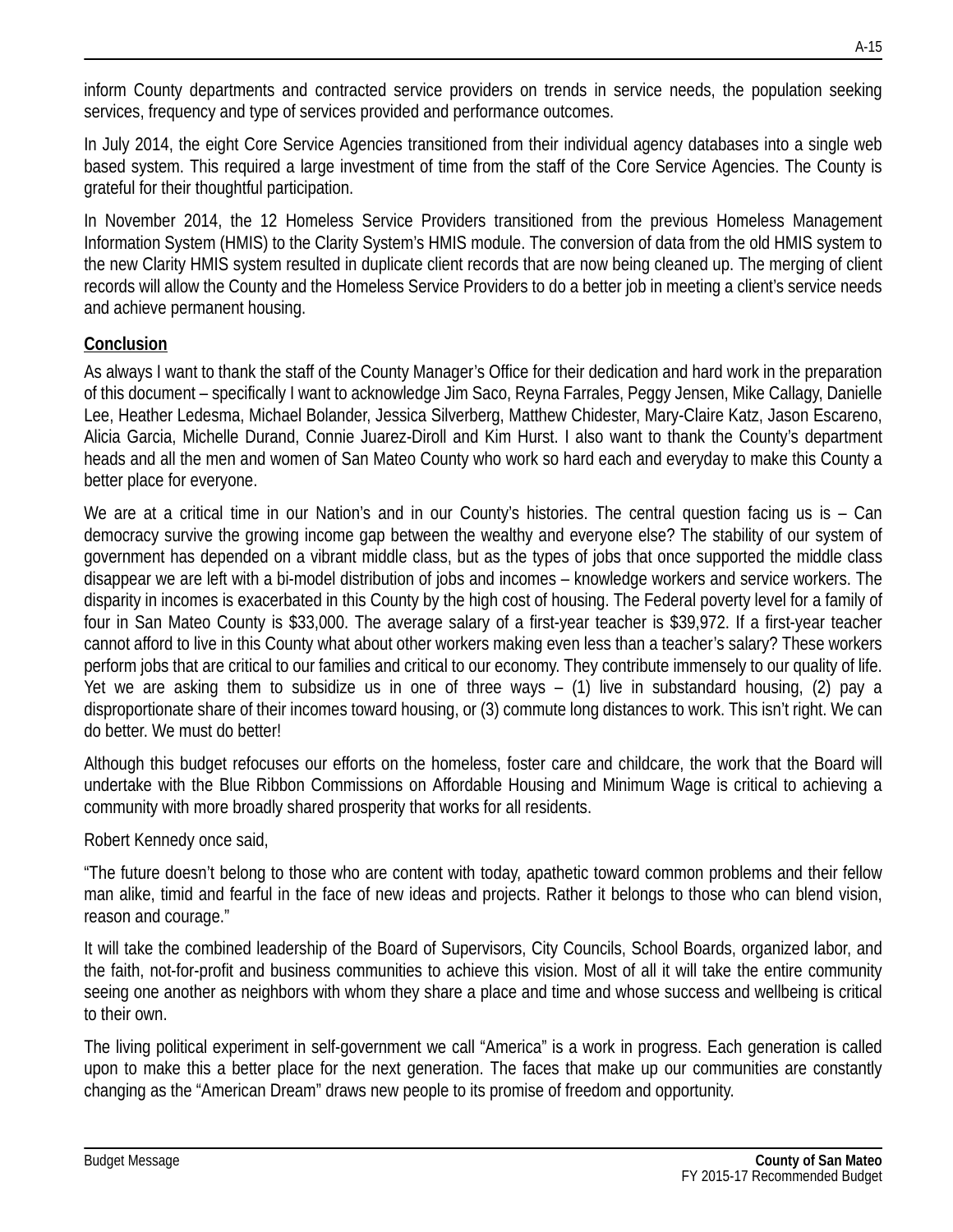inform County departments and contracted service providers on trends in service needs, the population seeking services, frequency and type of services provided and performance outcomes.

In July 2014, the eight Core Service Agencies transitioned from their individual agency databases into a single web based system. This required a large investment of time from the staff of the Core Service Agencies. The County is grateful for their thoughtful participation.

In November 2014, the 12 Homeless Service Providers transitioned from the previous Homeless Management Information System (HMIS) to the Clarity System's HMIS module. The conversion of data from the old HMIS system to the new Clarity HMIS system resulted in duplicate client records that are now being cleaned up. The merging of client records will allow the County and the Homeless Service Providers to do a better job in meeting a client's service needs and achieve permanent housing.

## **Conclusion**

As always I want to thank the staff of the County Manager's Office for their dedication and hard work in the preparation of this document – specifically I want to acknowledge Jim Saco, Reyna Farrales, Peggy Jensen, Mike Callagy, Danielle Lee, Heather Ledesma, Michael Bolander, Jessica Silverberg, Matthew Chidester, Mary-Claire Katz, Jason Escareno, Alicia Garcia, Michelle Durand, Connie Juarez-Diroll and Kim Hurst. I also want to thank the County's department heads and all the men and women of San Mateo County who work so hard each and everyday to make this County a better place for everyone.

We are at a critical time in our Nation's and in our County's histories. The central question facing us is – Can democracy survive the growing income gap between the wealthy and everyone else? The stability of our system of government has depended on a vibrant middle class, but as the types of jobs that once supported the middle class disappear we are left with a bi-model distribution of jobs and incomes – knowledge workers and service workers. The disparity in incomes is exacerbated in this County by the high cost of housing. The Federal poverty level for a family of four in San Mateo County is \$33,000. The average salary of a first-year teacher is \$39,972. If a first-year teacher cannot afford to live in this County what about other workers making even less than a teacher's salary? These workers perform jobs that are critical to our families and critical to our economy. They contribute immensely to our quality of life. Yet we are asking them to subsidize us in one of three ways – (1) live in substandard housing, (2) pay a disproportionate share of their incomes toward housing, or (3) commute long distances to work. This isn't right. We can do better. We must do better!

Although this budget refocuses our efforts on the homeless, foster care and childcare, the work that the Board will undertake with the Blue Ribbon Commissions on Affordable Housing and Minimum Wage is critical to achieving a community with more broadly shared prosperity that works for all residents.

Robert Kennedy once said,

"The future doesn't belong to those who are content with today, apathetic toward common problems and their fellow man alike, timid and fearful in the face of new ideas and projects. Rather it belongs to those who can blend vision, reason and courage."

It will take the combined leadership of the Board of Supervisors, City Councils, School Boards, organized labor, and the faith, not-for-profit and business communities to achieve this vision. Most of all it will take the entire community seeing one another as neighbors with whom they share a place and time and whose success and wellbeing is critical to their own.

The living political experiment in self-government we call "America" is a work in progress. Each generation is called upon to make this a better place for the next generation. The faces that make up our communities are constantly changing as the "American Dream" draws new people to its promise of freedom and opportunity.